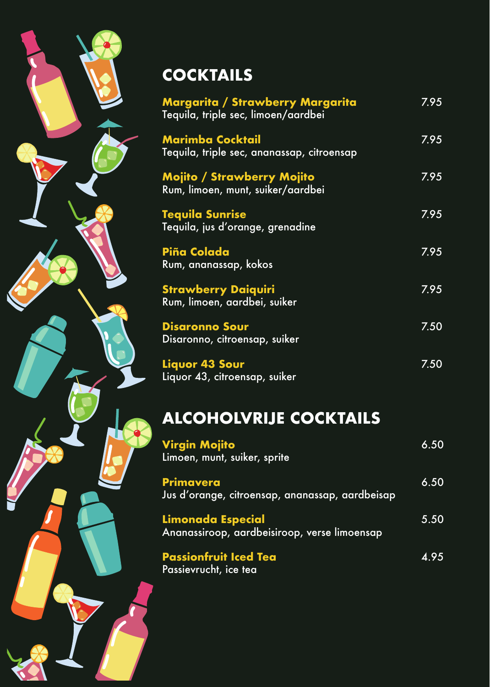## **COCKTAILS**

| Margarita / Strawberry Margarita<br>Tequila, triple sec, limoen/aardbei | 7.95 |
|-------------------------------------------------------------------------|------|
| <b>Marimba Cocktail</b><br>Tequila, triple sec, ananassap, citroensap   | 7.95 |
| <b>Mojito / Strawberry Mojito</b><br>Rum, limoen, munt, suiker/aardbei  | 7.95 |
| <b>Tequila Sunrise</b><br>Tequila, jus d'orange, grenadine              | 7.95 |
| Piña Colada<br>Rum, ananassap, kokos                                    | 7.95 |
| <b>Strawberry Daiquiri</b><br>Rum, limoen, aardbei, suiker              | 7.95 |
| <b>Disaronno Sour</b><br>Disaronno, citroensap, suiker                  | 7.50 |
| Liquor 43 Sour<br>Liquor 43, citroensap, suiker                         | 7.50 |
| <b>ALCOHOLVRIJE COCKTAILS</b>                                           |      |

## **Virgin Mojito** 6.50 Limoen, munt, suiker, sprite **Primavera** 6.50 Jus d'orange, citroensap, ananassap, aardbeisap **Limonada Especial** 5.50 Ananassiroop, aardbeisiroop, verse limoensap **Passionfruit Iced Tea** 4.95 Passievrucht, ice tea